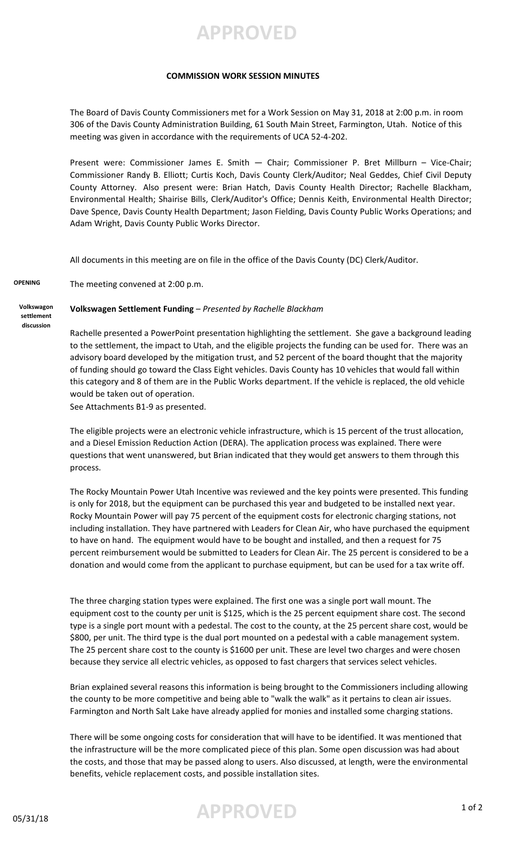**APPROVED**

## **COMMISSION WORK SESSION MINUTES**

The Board of Davis County Commissioners met for a Work Session on May 31, 2018 at 2:00 p.m. in room 306 of the Davis County Administration Building, 61 South Main Street, Farmington, Utah. Notice of this meeting was given in accordance with the requirements of UCA 52-4-202.

Present were: Commissioner James E. Smith — Chair; Commissioner P. Bret Millburn – Vice-Chair; Commissioner Randy B. Elliott; Curtis Koch, Davis County Clerk/Auditor; Neal Geddes, Chief Civil Deputy County Attorney. Also present were: Brian Hatch, Davis County Health Director; Rachelle Blackham, Environmental Health; Shairise Bills, Clerk/Auditor's Office; Dennis Keith, Environmental Health Director; Dave Spence, Davis County Health Department; Jason Fielding, Davis County Public Works Operations; and Adam Wright, Davis County Public Works Director.

All documents in this meeting are on file in the office of the Davis County (DC) Clerk/Auditor.

**OPENING** The meeting convened at 2:00 p.m.

## **Volkswagen Settlement Funding** – *Presented by Rachelle Blackham*

**Volkswagon settlement discussion**

> Rachelle presented a PowerPoint presentation highlighting the settlement. She gave a background leading to the settlement, the impact to Utah, and the eligible projects the funding can be used for. There was an advisory board developed by the mitigation trust, and 52 percent of the board thought that the majority of funding should go toward the Class Eight vehicles. Davis County has 10 vehicles that would fall within this category and 8 of them are in the Public Works department. If the vehicle is replaced, the old vehicle would be taken out of operation.

See Attachments B1-9 as presented.

The eligible projects were an electronic vehicle infrastructure, which is 15 percent of the trust allocation, and a Diesel Emission Reduction Action (DERA). The application process was explained. There were questions that went unanswered, but Brian indicated that they would get answers to them through this process.

The Rocky Mountain Power Utah Incentive was reviewed and the key points were presented. This funding is only for 2018, but the equipment can be purchased this year and budgeted to be installed next year. Rocky Mountain Power will pay 75 percent of the equipment costs for electronic charging stations, not including installation. They have partnered with Leaders for Clean Air, who have purchased the equipment to have on hand. The equipment would have to be bought and installed, and then a request for 75 percent reimbursement would be submitted to Leaders for Clean Air. The 25 percent is considered to be a donation and would come from the applicant to purchase equipment, but can be used for a tax write off.

The three charging station types were explained. The first one was a single port wall mount. The equipment cost to the county per unit is \$125, which is the 25 percent equipment share cost. The second type is a single port mount with a pedestal. The cost to the county, at the 25 percent share cost, would be \$800, per unit. The third type is the dual port mounted on a pedestal with a cable management system. The 25 percent share cost to the county is \$1600 per unit. These are level two charges and were chosen because they service all electric vehicles, as opposed to fast chargers that services select vehicles.

Brian explained several reasons this information is being brought to the Commissioners including allowing the county to be more competitive and being able to "walk the walk" as it pertains to clean air issues. Farmington and North Salt Lake have already applied for monies and installed some charging stations.

There will be some ongoing costs for consideration that will have to be identified. It was mentioned that the infrastructure will be the more complicated piece of this plan. Some open discussion was had about the costs, and those that may be passed along to users. Also discussed, at length, were the environmental benefits, vehicle replacement costs, and possible installation sites.